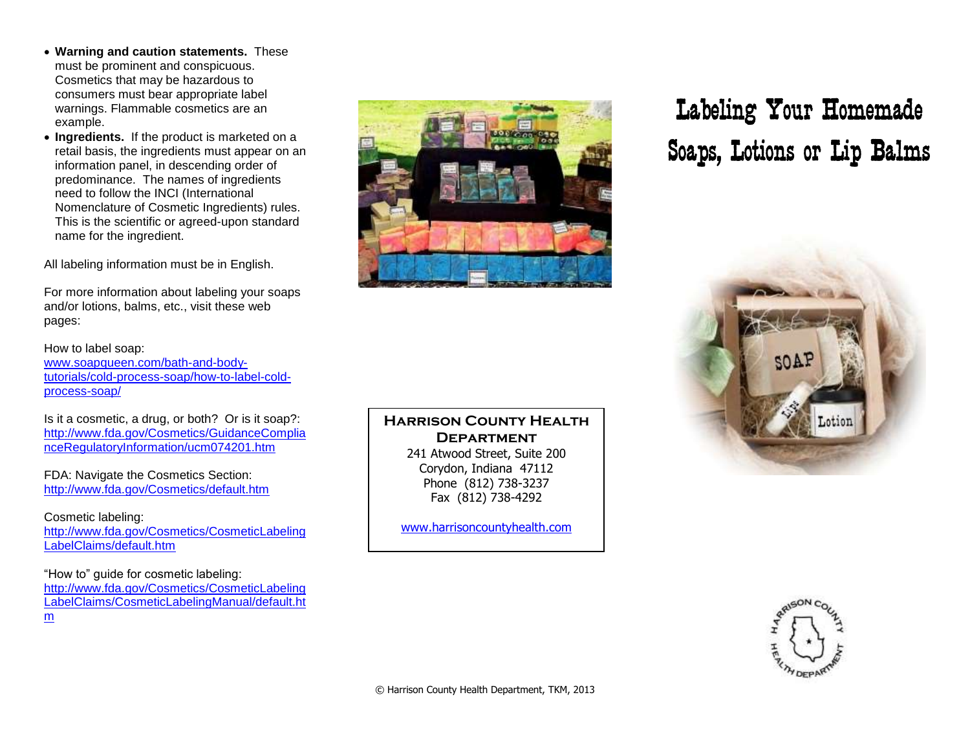- **Warning and caution statements.** These must be prominent and conspicuous. Cosmetics that may be hazardous to consumers must bear appropriate label warnings. Flammable cosmetics are an example.
- **Ingredients.** If the product is marketed on a retail basis, the ingredients must appear on an information panel, in descending order of predominance. The names of ingredients need to follow the INCI (International Nomenclature of Cosmetic Ingredients) rules. This is the scientific or agreed-upon standard name for the ingredient.

All labeling information must be in English.

For more information about labeling your soaps and/or lotions, balms, etc., visit these web pages:

How to label soap:

[www.soapqueen.com/bath-and-body](http://www.soapqueen.com/bath-and-body-tutorials/cold-process-soap/how-to-label-cold-process-soap/)[tutorials/cold-process-soap/how-to-label-cold](http://www.soapqueen.com/bath-and-body-tutorials/cold-process-soap/how-to-label-cold-process-soap/)[process-soap/](http://www.soapqueen.com/bath-and-body-tutorials/cold-process-soap/how-to-label-cold-process-soap/)

Is it a cosmetic, a drug, or both? Or is it soap?: [http://www.fda.gov/Cosmetics/GuidanceComplia](http://www.fda.gov/Cosmetics/GuidanceComplianceRegulatoryInformation/ucm074201.htm) [nceRegulatoryInformation/ucm074201.htm](http://www.fda.gov/Cosmetics/GuidanceComplianceRegulatoryInformation/ucm074201.htm)

FDA: Navigate the Cosmetics Section: <http://www.fda.gov/Cosmetics/default.htm>

Cosmetic labeling: [http://www.fda.gov/Cosmetics/CosmeticLabeling](http://www.fda.gov/Cosmetics/CosmeticLabelingLabelClaims/default.htm) [LabelClaims/default.htm](http://www.fda.gov/Cosmetics/CosmeticLabelingLabelClaims/default.htm)

"How to" guide for cosmetic labeling: [http://www.fda.gov/Cosmetics/CosmeticLabeling](http://www.fda.gov/Cosmetics/CosmeticLabelingLabelClaims/CosmeticLabelingManual/default.htm) [LabelClaims/CosmeticLabelingManual/default.ht](http://www.fda.gov/Cosmetics/CosmeticLabelingLabelClaims/CosmeticLabelingManual/default.htm) [m](http://www.fda.gov/Cosmetics/CosmeticLabelingLabelClaims/CosmeticLabelingManual/default.htm)

## Labeling Your Homemade Soaps, Lotions or Lip Balms



## **Harrison County Health Department** 241 Atwood Street, Suite 200

Corydon, Indiana 47112 Phone (812) 738-3237 Fax (812) 738-4292

[www.harrisoncountyhealth.com](http://www.harrisoncountyhealth.com/)